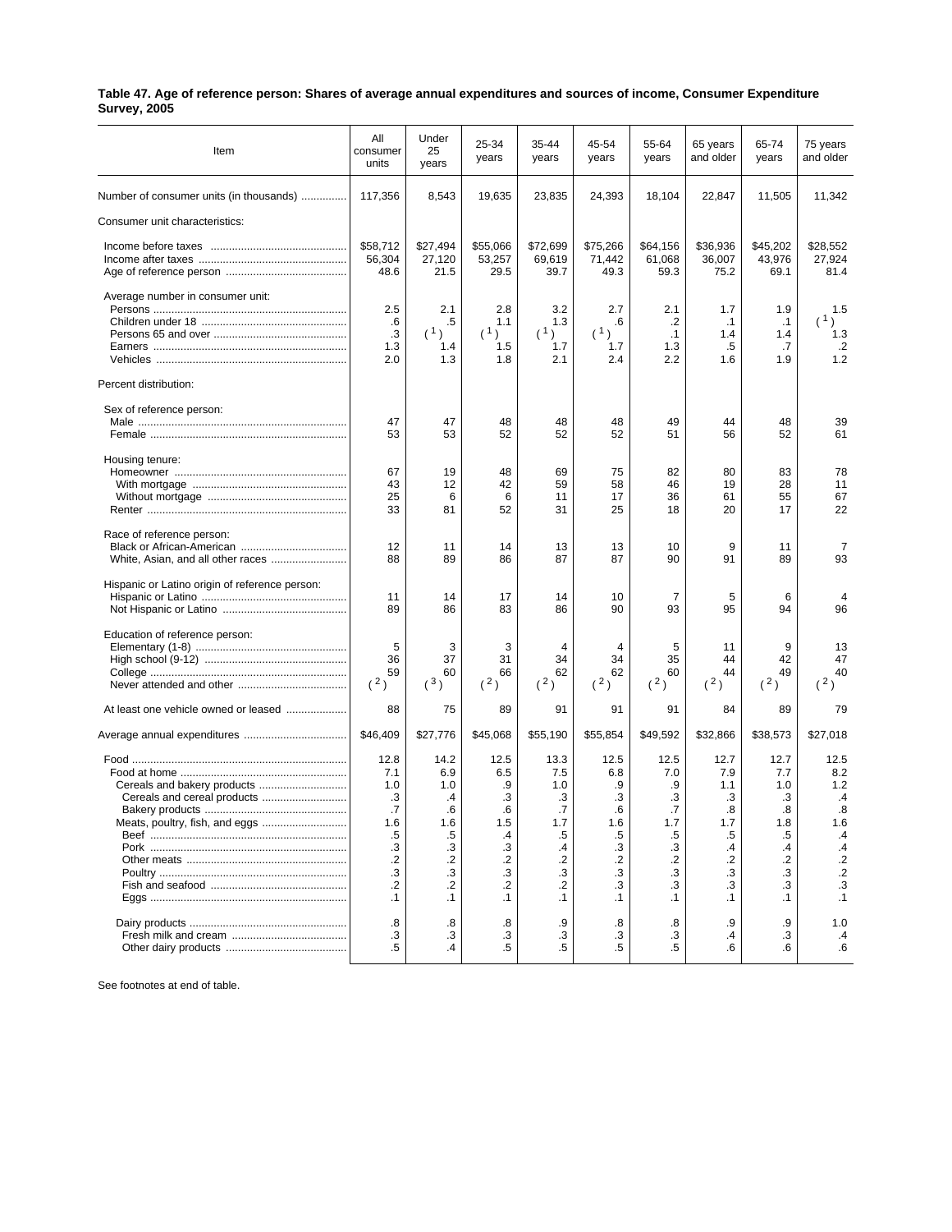| Table 47. Age of reference person: Shares of average annual expenditures and sources of income, Consumer Expenditure |  |
|----------------------------------------------------------------------------------------------------------------------|--|
| <b>Survey, 2005</b>                                                                                                  |  |

| Item                                                          | All<br>consumer<br>units                                                                   | Under<br>25<br>years                                                                       | 25-34<br>years                                                                          | 35-44<br>years                                                                                    | 45-54<br>years                                                                              | 55-64<br>years                                                                                      | 65 years<br>and older                                                                 | 65-74<br>years                                                                   | 75 years<br>and older                                                                                    |
|---------------------------------------------------------------|--------------------------------------------------------------------------------------------|--------------------------------------------------------------------------------------------|-----------------------------------------------------------------------------------------|---------------------------------------------------------------------------------------------------|---------------------------------------------------------------------------------------------|-----------------------------------------------------------------------------------------------------|---------------------------------------------------------------------------------------|----------------------------------------------------------------------------------|----------------------------------------------------------------------------------------------------------|
| Number of consumer units (in thousands)                       | 117,356                                                                                    | 8,543                                                                                      | 19,635                                                                                  | 23,835                                                                                            | 24,393                                                                                      | 18,104                                                                                              | 22,847                                                                                | 11,505                                                                           | 11,342                                                                                                   |
| Consumer unit characteristics:                                |                                                                                            |                                                                                            |                                                                                         |                                                                                                   |                                                                                             |                                                                                                     |                                                                                       |                                                                                  |                                                                                                          |
|                                                               | \$58,712<br>56,304<br>48.6                                                                 | \$27,494<br>27,120<br>21.5                                                                 | \$55,066<br>53,257<br>29.5                                                              | \$72,699<br>69,619<br>39.7                                                                        | \$75,266<br>71,442<br>49.3                                                                  | \$64,156<br>61,068<br>59.3                                                                          | \$36,936<br>36,007<br>75.2                                                            | \$45,202<br>43,976<br>69.1                                                       | \$28,552<br>27,924<br>81.4                                                                               |
| Average number in consumer unit:                              | 2.5                                                                                        | 2.1                                                                                        | 2.8                                                                                     | 3.2                                                                                               | 2.7                                                                                         | 2.1                                                                                                 | 1.7                                                                                   | 1.9                                                                              | 1.5                                                                                                      |
|                                                               | .6<br>$\cdot$ 3<br>1.3<br>2.0                                                              | .5<br>(1)<br>1.4<br>1.3                                                                    | 1.1<br>(1)<br>1.5<br>1.8                                                                | 1.3<br>(1)<br>1.7<br>2.1                                                                          | .6<br>(1)<br>1.7<br>2.4                                                                     | .2<br>.1<br>1.3<br>2.2                                                                              | $\cdot$ 1<br>1.4<br>.5<br>1.6                                                         | $\cdot$ 1<br>1.4<br>.7<br>1.9                                                    | (1)<br>1.3<br>$\cdot$<br>1.2                                                                             |
| Percent distribution:                                         |                                                                                            |                                                                                            |                                                                                         |                                                                                                   |                                                                                             |                                                                                                     |                                                                                       |                                                                                  |                                                                                                          |
| Sex of reference person:                                      |                                                                                            |                                                                                            |                                                                                         |                                                                                                   |                                                                                             |                                                                                                     |                                                                                       |                                                                                  |                                                                                                          |
|                                                               | 47<br>53                                                                                   | 47<br>53                                                                                   | 48<br>52                                                                                | 48<br>52                                                                                          | 48<br>52                                                                                    | 49<br>51                                                                                            | 44<br>56                                                                              | 48<br>52                                                                         | 39<br>61                                                                                                 |
| Housing tenure:                                               | 67<br>43<br>25<br>33                                                                       | 19<br>12<br>6<br>81                                                                        | 48<br>42<br>6<br>52                                                                     | 69<br>59<br>11<br>31                                                                              | 75<br>58<br>17<br>25                                                                        | 82<br>46<br>36<br>18                                                                                | 80<br>19<br>61<br>20                                                                  | 83<br>28<br>55<br>17                                                             | 78<br>11<br>67<br>22                                                                                     |
| Race of reference person:                                     | 12<br>88                                                                                   | 11<br>89                                                                                   | 14<br>86                                                                                | 13<br>87                                                                                          | 13<br>87                                                                                    | 10<br>90                                                                                            | 9<br>91                                                                               | 11<br>89                                                                         | 7<br>93                                                                                                  |
| Hispanic or Latino origin of reference person:                | 11<br>89                                                                                   | 14<br>86                                                                                   | 17<br>83                                                                                | 14<br>86                                                                                          | 10<br>90                                                                                    | 7<br>93                                                                                             | 5<br>95                                                                               | 6<br>94                                                                          | 96                                                                                                       |
| Education of reference person:                                | 5<br>36<br>59<br>(2)                                                                       | 3<br>37<br>60<br>(3)                                                                       | 3<br>31<br>66<br>(2)                                                                    | 4<br>34<br>62<br>(2)                                                                              | $\overline{4}$<br>34<br>62<br>(2)                                                           | 5<br>35<br>60<br>(2)                                                                                | 11<br>44<br>44<br>(2)                                                                 | 9<br>42<br>49<br>(2)                                                             | 13<br>47<br>40<br>(2)                                                                                    |
| At least one vehicle owned or leased                          | 88                                                                                         | 75                                                                                         | 89                                                                                      | 91                                                                                                | 91                                                                                          | 91                                                                                                  | 84                                                                                    | 89                                                                               | 79                                                                                                       |
| Average annual expenditures                                   | \$46,409                                                                                   | \$27,776                                                                                   | \$45,068                                                                                | \$55,190                                                                                          | \$55,854                                                                                    | \$49,592                                                                                            | \$32,866                                                                              | \$38,573                                                                         | \$27,018                                                                                                 |
| Cereals and cereal products<br>Meats, poultry, fish, and eggs | 12.8<br>7.1<br>1.0<br>.3<br>.7<br>1.6<br>.5<br>.3<br>$\cdot$<br>.3<br>$\cdot$<br>$\cdot$ 1 | 14.2<br>6.9<br>1.0<br>.4<br>.6<br>1.6<br>.5<br>.3<br>$\cdot$<br>.3<br>$\cdot$<br>$\cdot$ 1 | 12.5<br>6.5<br>.9<br>.3<br>.6<br>1.5<br>.4<br>.3<br>$\cdot$ .2<br>.3<br>.2<br>$\cdot$ 1 | 13.3<br>7.5<br>1.0<br>.3<br>.7<br>1.7<br>.5<br>$\cdot$<br>$\cdot$<br>$\cdot$ 3<br>.2<br>$\cdot$ 1 | 12.5<br>6.8<br>.9<br>.3<br>.6<br>1.6<br>.5<br>.3<br>$\cdot$<br>$\cdot$ 3<br>.3<br>$\cdot$ 1 | 12.5<br>7.0<br>.9<br>.3<br>.7<br>1.7<br>.5<br>.3<br>$.2\phantom{0}$<br>$\cdot$ 3<br>.3<br>$\cdot$ 1 | 12.7<br>7.9<br>1.1<br>.3<br>.8<br>1.7<br>.5<br>.4<br>$\cdot$<br>.3<br>.3<br>$\cdot$ 1 | 12.7<br>7.7<br>1.0<br>.3<br>.8<br>1.8<br>.5<br>.4<br>.2<br>.3<br>.3<br>$\cdot$ 1 | 12.5<br>8.2<br>1.2<br>$\cdot$ 4<br>.8<br>1.6<br>.4<br>$\cdot$<br>$\cdot$<br>$\frac{.2}{.3}$<br>$\cdot$ 1 |
|                                                               | .8<br>.3<br>$.5\,$                                                                         | .8<br>.3<br>$\cdot$                                                                        | .8<br>.3<br>$.5\,$                                                                      | .9<br>.3<br>.5                                                                                    | .8<br>.3<br>.5                                                                              | .8<br>.3<br>.5                                                                                      | .9<br>.4<br>.6                                                                        | .9<br>.3<br>.6                                                                   | 1.0<br>$\cdot$<br>.6                                                                                     |

See footnotes at end of table.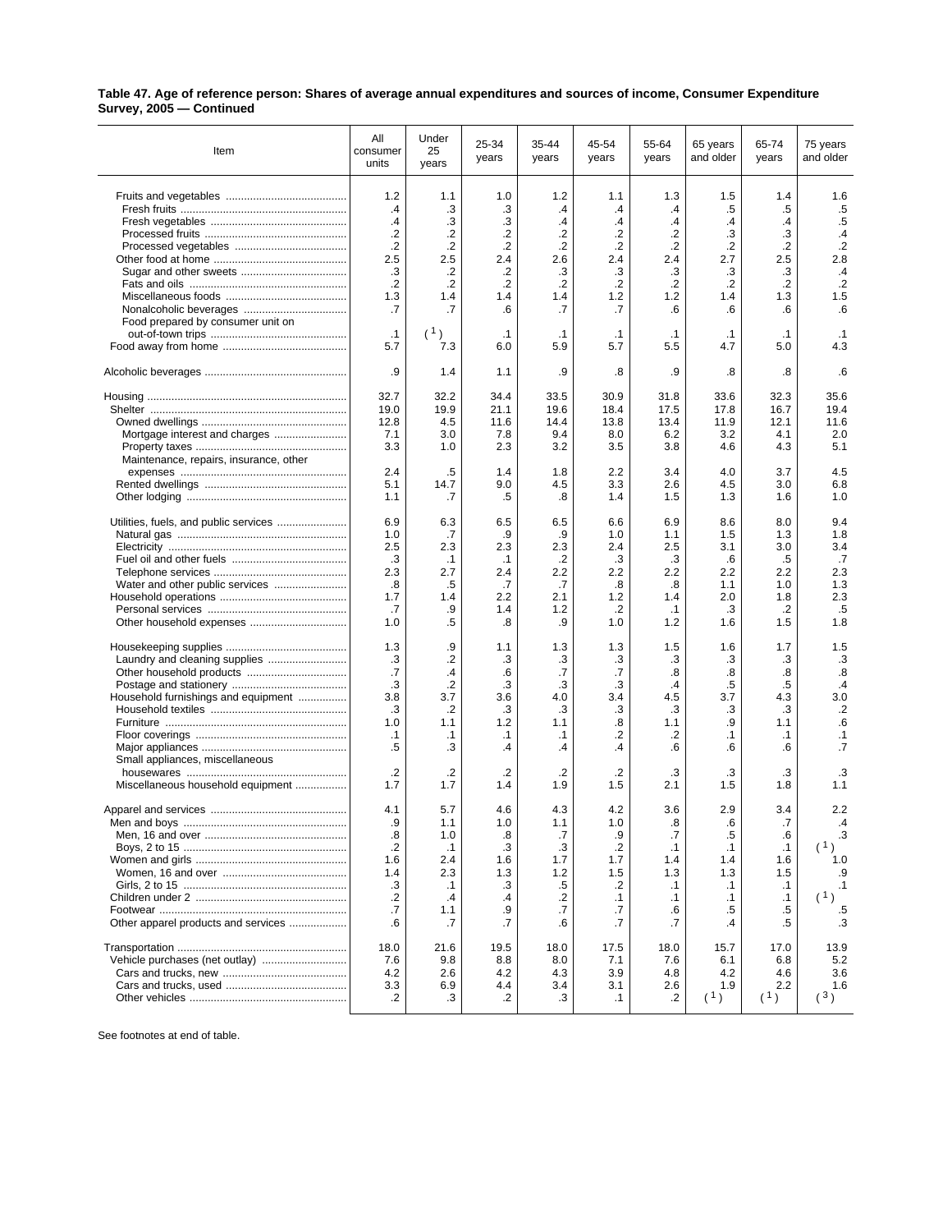| Table 47. Age of reference person: Shares of average annual expenditures and sources of income, Consumer Expenditure |  |
|----------------------------------------------------------------------------------------------------------------------|--|
| Survey, 2005 - Continued                                                                                             |  |

| Item                                   | All<br>consumer<br>units | Under<br>25<br>years | 25-34<br>years | 35-44<br>years | 45-54<br>years | 55-64<br>years   | 65 years<br>and older | 65-74<br>years | 75 years<br>and older |
|----------------------------------------|--------------------------|----------------------|----------------|----------------|----------------|------------------|-----------------------|----------------|-----------------------|
|                                        | 1.2                      | 1.1                  | 1.0            | 1.2            | 1.1            | 1.3              | 1.5                   | 1.4            | 1.6                   |
|                                        | $\cdot$                  | .3                   | .3             | .4             | $\cdot$        | $\cdot$          | .5                    | .5             | $.5\,$                |
|                                        | $\mathcal{A}$            | .3                   | .3             | .4             | $\cdot$        | .4               | .4                    | $\cdot$        | .5                    |
|                                        | $\cdot$                  | .2                   | $\cdot$        | .2             | $\cdot$        | .2               | .3                    | .3             | .4                    |
|                                        | $\cdot$                  | .2                   | .2             | $\cdot$        | .2             | $\cdot$          | .2                    | .2             | $\cdot$ .2            |
|                                        | 2.5                      | 2.5                  | 2.4            | 2.6            | 2.4            | 2.4              | 2.7                   | 2.5            | 2.8                   |
|                                        | .3                       | .2                   | .2             | .3             | .3             | .3               | .3                    | .3             | $\cdot$ 4             |
|                                        | $\cdot$                  | $\cdot$              | .2             | $\cdot$        | $\cdot$        | $\cdot$          | $\cdot$               | $\cdot$        | $\cdot$ .2            |
|                                        | 1.3                      | 1.4                  | 1.4            | 1.4            | 1.2            | 1.2              | 1.4                   | 1.3            | 1.5                   |
|                                        | .7                       | .7                   | .6             | .7             | .7             | .6               | .6                    | .6             | .6                    |
| Food prepared by consumer unit on      | $\cdot$ 1                | (1)                  | $\cdot$ 1      | $\cdot$ 1      | $\cdot$ 1      | $\cdot$ 1        | $\cdot$ 1             | $\cdot$ 1      | $\cdot$ 1             |
|                                        | 5.7                      | 7.3                  | 6.0            | 5.9            | 5.7            | 5.5              | 4.7                   | 5.0            | 4.3                   |
|                                        |                          |                      |                |                |                |                  |                       |                |                       |
|                                        | .9                       | 1.4                  | 1.1            | .9             | .8             | .9               | .8                    | .8             | .6                    |
|                                        | 32.7                     | 32.2                 | 34.4           | 33.5           | 30.9           | 31.8             | 33.6                  | 32.3           | 35.6                  |
|                                        | 19.0                     | 19.9                 | 21.1           | 19.6           | 18.4           | 17.5             | 17.8                  | 16.7           | 19.4                  |
|                                        | 12.8                     | 4.5                  | 11.6           | 14.4           | 13.8           | 13.4             | 11.9                  | 12.1           | 11.6                  |
| Mortgage interest and charges          | 7.1                      | 3.0                  | 7.8            | 9.4            | 8.0            | 6.2              | 3.2                   | 4.1            | 2.0                   |
|                                        | 3.3                      | 1.0                  | 2.3            | 3.2            | 3.5            | 3.8              | 4.6                   | 4.3            | 5.1                   |
| Maintenance, repairs, insurance, other | 2.4                      |                      |                |                | 2.2            | 3.4              |                       | 3.7            | 4.5                   |
|                                        | 5.1                      | .5<br>14.7           | 1.4<br>9.0     | 1.8<br>4.5     | 3.3            | 2.6              | 4.0<br>4.5            | 3.0            | 6.8                   |
|                                        | 1.1                      | .7                   | .5             | .8             | 1.4            | 1.5              | 1.3                   | 1.6            | 1.0                   |
| Utilities, fuels, and public services  | 6.9                      | 6.3                  | 6.5            | 6.5            | 6.6            | 6.9              | 8.6                   | 8.0            | 9.4                   |
|                                        | 1.0                      | .7                   | .9             | .9             | 1.0            | 1.1              | 1.5                   | 1.3            | 1.8                   |
|                                        | 2.5                      | 2.3                  | 2.3            | 2.3            | 2.4            | 2.5              | 3.1                   | 3.0            | 3.4                   |
|                                        | .3                       | $\cdot$ 1            | $\cdot$ 1      | $\cdot$        | .3             | .3               | .6                    | .5             | .7                    |
|                                        | 2.3                      | 2.7                  | 2.4            | 2.2            | 2.2            | 2.2              | 2.2                   | 2.2            | 2.3                   |
|                                        | .8                       | .5                   | .7             | .7             | .8             | .8               | 1.1                   | 1.0            | 1.3                   |
|                                        | 1.7                      | 1.4                  | 2.2            | 2.1            | 1.2            | 1.4              | 2.0                   | 1.8            | 2.3                   |
|                                        | .7<br>1.0                | .9<br>.5             | 1.4            | 1.2<br>.9      | .2<br>1.0      | $\cdot$ 1<br>1.2 | .3<br>1.6             | .2<br>1.5      | $.5\,$<br>1.8         |
|                                        |                          |                      | .8             |                |                |                  |                       |                |                       |
|                                        | 1.3                      | .9                   | 1.1            | 1.3            | 1.3            | 1.5              | 1.6                   | 1.7            | 1.5                   |
| Laundry and cleaning supplies          | .3                       | .2                   | .3             | .3             | .3             | .3               | .3                    | .3             | $\cdot$ 3             |
|                                        | .7                       | $\cdot$              | .6             | .7             | .7             | .8               | .8                    | .8             | $\boldsymbol{.8}$     |
|                                        | .3                       | .2                   | .3             | .3             | .3             | $\cdot$          | .5                    | .5             | $\cdot$ 4             |
| Household furnishings and equipment    | 3.8<br>.3                | 3.7<br>.2            | 3.6<br>.3      | 4.0<br>.3      | 3.4<br>.3      | 4.5<br>.3        | 3.7                   | 4.3<br>.3      | 3.0<br>$\cdot$        |
|                                        | 1.0                      | 1.1                  | 1.2            | 1.1            | .8             | 1.1              | .3<br>.9              | 1.1            | .6                    |
|                                        | $\cdot$ 1                | $\cdot$ 1            | $\cdot$ 1      | $\cdot$ 1      | .2             | $\cdot$          | $\cdot$ 1             | $\cdot$ 1      | $\cdot$ 1             |
|                                        | .5                       | .3                   | .4             | .4             | .4             | .6               | .6                    | .6             | $\overline{.7}$       |
| Small appliances, miscellaneous        |                          |                      |                |                |                |                  |                       |                |                       |
|                                        | $\cdot$                  | .2                   | .2             | .2             | $\cdot$        | .3               | .3                    | .3             | .3                    |
| Miscellaneous household equipment      | 1.7                      | 1.7                  | 1.4            | 1.9            | 1.5            | 2.1              | 1.5                   | 1.8            | 1.1                   |
|                                        | 4.1                      | 5.7                  | 4.6            | 4.3            | 4.2            | 3.6              | 2.9                   | 3.4            | 2.2                   |
|                                        | .ყ                       | 1.1                  | 1.0            | 1.1            | 1.0            | .ၓ               | .6                    | $\cdot$        | .4                    |
|                                        | .8                       | 1.0                  | .8             | .7             | .9             | .7               | .5                    | .6             | .3                    |
|                                        | $\cdot$                  | $\cdot$ 1            | .3             | .3             | $\cdot$        | $\cdot$ 1        | $\cdot$ 1             | $\cdot$ 1      | (1)                   |
|                                        | 1.6                      | 2.4                  | 1.6            | 1.7            | 1.7            | 1.4              | 1.4                   | 1.6            | 1.0                   |
|                                        | 1.4                      | 2.3                  | 1.3            | 1.2            | 1.5            | 1.3              | 1.3                   | 1.5            | .9                    |
|                                        | .3                       | $\cdot$ 1            | .3             | .5             | .2             | $\cdot$ 1        | $\cdot$ 1             | $\cdot$ 1      | $\cdot$ 1             |
|                                        | .2                       | $\cdot$              | .4             | .2             | $\cdot$ 1      | $\cdot$ 1        | $\cdot$ 1             | $\cdot$ 1      | (1)                   |
| Other apparel products and services    | .7<br>.6                 | 1.1<br>.7            | .9<br>.7       | .7<br>.6       | .7<br>.7       | .6<br>.7         | .5<br>.4              | .5<br>.5       | .5<br>.3              |
|                                        | 18.0                     | 21.6                 | 19.5           | 18.0           | 17.5           | 18.0             | 15.7                  | 17.0           | 13.9                  |
| Vehicle purchases (net outlay)         | 7.6                      | 9.8                  | 8.8            | 8.0            | 7.1            | 7.6              | 6.1                   | 6.8            | 5.2                   |
|                                        | 4.2                      | 2.6                  | 4.2            | 4.3            | 3.9            | 4.8              | 4.2                   | 4.6            | 3.6                   |
|                                        | 3.3                      | 6.9                  | 4.4            | 3.4            | 3.1            | 2.6              | 1.9                   | 2.2            | 1.6                   |
|                                        | .2                       | .3                   | .2             | .3             | $\cdot$ 1      | .2               | (1)                   | (1)            | (3)                   |
|                                        |                          |                      |                |                |                |                  |                       |                |                       |

See footnotes at end of table.